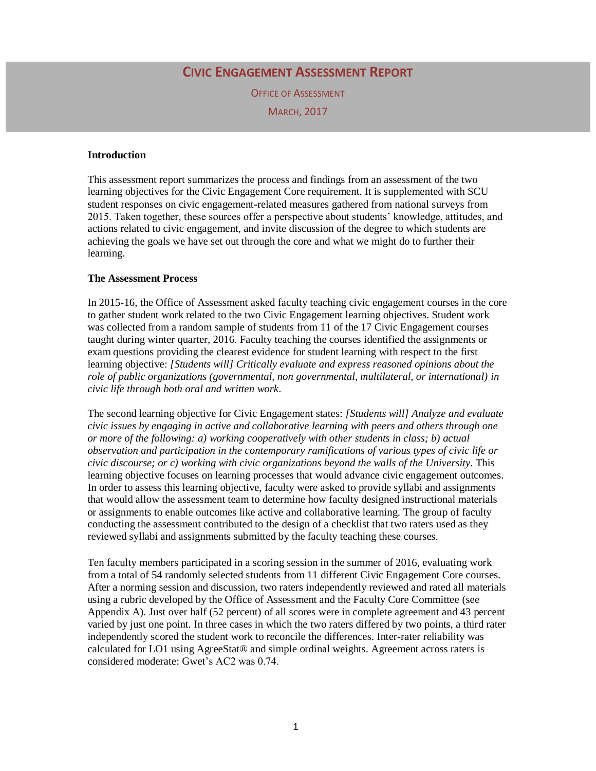## **CIVIC ENGAGEMENT ASSESSMENT REPORT**

OFFICE OF ASSESSMENT

MARCH, 2017

### **Introduction**

This assessment report summarizes the process and findings from an assessment of the two learning objectives for the Civic Engagement Core requirement. It is supplemented with SCU student responses on civic engagement-related measures gathered from national surveys from 2015. Taken together, these sources offer a perspective about students' knowledge, attitudes, and actions related to civic engagement, and invite discussion of the degree to which students are achieving the goals we have set out through the core and what we might do to further their learning.

## **The Assessment Process**

In 2015-16, the Office of Assessment asked faculty teaching civic engagement courses in the core to gather student work related to the two Civic Engagement learning objectives. Student work was collected from a random sample of students from 11 of the 17 Civic Engagement courses taught during winter quarter, 2016. Faculty teaching the courses identified the assignments or exam questions providing the clearest evidence for student learning with respect to the first learning objective: *[Students will] Critically evaluate and express reasoned opinions about the role of public organizations (governmental, non governmental, multilateral, or international) in civic life through both oral and written work*.

The second learning objective for Civic Engagement states: *[Students will] Analyze and evaluate civic issues by engaging in active and collaborative learning with peers and others through one or more of the following: a) working cooperatively with other students in class; b) actual observation and participation in the contemporary ramifications of various types of civic life or civic discourse; or c) working with civic organizations beyond the walls of the University.* This learning objective focuses on learning processes that would advance civic engagement outcomes. In order to assess this learning objective, faculty were asked to provide syllabi and assignments that would allow the assessment team to determine how faculty designed instructional materials or assignments to enable outcomes like active and collaborative learning. The group of faculty conducting the assessment contributed to the design of a checklist that two raters used as they reviewed syllabi and assignments submitted by the faculty teaching these courses.

Ten faculty members participated in a scoring session in the summer of 2016, evaluating work from a total of 54 randomly selected students from 11 different Civic Engagement Core courses. After a norming session and discussion, two raters independently reviewed and rated all materials using a rubric developed by the Office of Assessment and the Faculty Core Committee (see Appendix A). Just over half (52 percent) of all scores were in complete agreement and 43 percent varied by just one point. In three cases in which the two raters differed by two points, a third rater independently scored the student work to reconcile the differences. Inter-rater reliability was calculated for LO1 using AgreeStat® and simple ordinal weights. Agreement across raters is considered moderate: Gwet's AC2 was 0.74.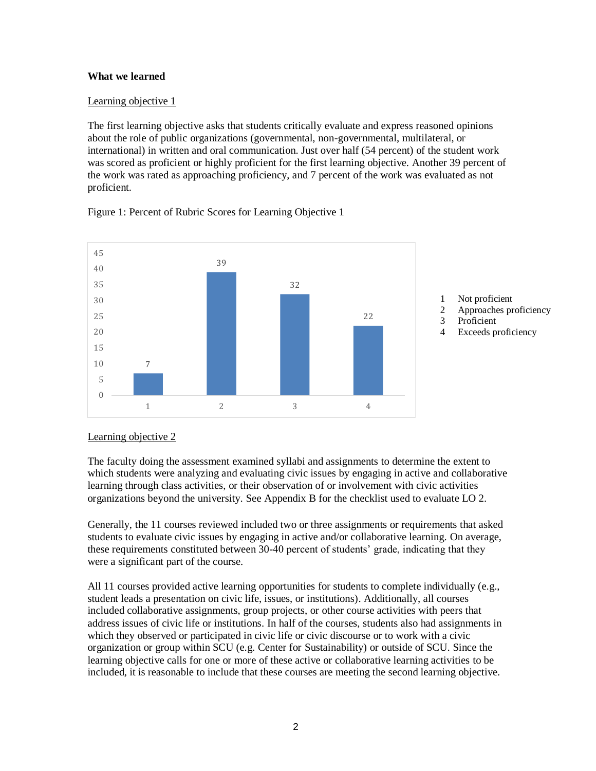### **What we learned**

## Learning objective 1

The first learning objective asks that students critically evaluate and express reasoned opinions about the role of public organizations (governmental, non-governmental, multilateral, or international) in written and oral communication. Just over half (54 percent) of the student work was scored as proficient or highly proficient for the first learning objective. Another 39 percent of the work was rated as approaching proficiency, and 7 percent of the work was evaluated as not proficient.



Figure 1: Percent of Rubric Scores for Learning Objective 1

## Learning objective 2

The faculty doing the assessment examined syllabi and assignments to determine the extent to which students were analyzing and evaluating civic issues by engaging in active and collaborative learning through class activities, or their observation of or involvement with civic activities organizations beyond the university. See Appendix B for the checklist used to evaluate LO 2.

Generally, the 11 courses reviewed included two or three assignments or requirements that asked students to evaluate civic issues by engaging in active and/or collaborative learning. On average, these requirements constituted between 30-40 percent of students' grade, indicating that they were a significant part of the course.

All 11 courses provided active learning opportunities for students to complete individually (e.g., student leads a presentation on civic life, issues, or institutions). Additionally, all courses included collaborative assignments, group projects, or other course activities with peers that address issues of civic life or institutions. In half of the courses, students also had assignments in which they observed or participated in civic life or civic discourse or to work with a civic organization or group within SCU (e.g. Center for Sustainability) or outside of SCU. Since the learning objective calls for one or more of these active or collaborative learning activities to be included, it is reasonable to include that these courses are meeting the second learning objective.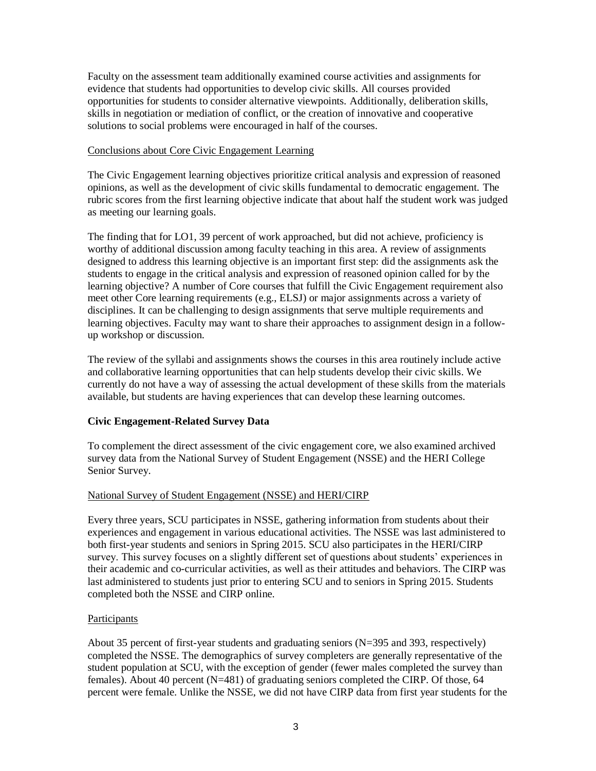Faculty on the assessment team additionally examined course activities and assignments for evidence that students had opportunities to develop civic skills. All courses provided opportunities for students to consider alternative viewpoints. Additionally, deliberation skills, skills in negotiation or mediation of conflict, or the creation of innovative and cooperative solutions to social problems were encouraged in half of the courses.

#### Conclusions about Core Civic Engagement Learning

The Civic Engagement learning objectives prioritize critical analysis and expression of reasoned opinions, as well as the development of civic skills fundamental to democratic engagement. The rubric scores from the first learning objective indicate that about half the student work was judged as meeting our learning goals.

The finding that for LO1, 39 percent of work approached, but did not achieve, proficiency is worthy of additional discussion among faculty teaching in this area. A review of assignments designed to address this learning objective is an important first step: did the assignments ask the students to engage in the critical analysis and expression of reasoned opinion called for by the learning objective? A number of Core courses that fulfill the Civic Engagement requirement also meet other Core learning requirements (e.g., ELSJ) or major assignments across a variety of disciplines. It can be challenging to design assignments that serve multiple requirements and learning objectives. Faculty may want to share their approaches to assignment design in a followup workshop or discussion.

The review of the syllabi and assignments shows the courses in this area routinely include active and collaborative learning opportunities that can help students develop their civic skills. We currently do not have a way of assessing the actual development of these skills from the materials available, but students are having experiences that can develop these learning outcomes.

### **Civic Engagement-Related Survey Data**

To complement the direct assessment of the civic engagement core, we also examined archived survey data from the National Survey of Student Engagement (NSSE) and the HERI College Senior Survey.

### National Survey of Student Engagement (NSSE) and HERI/CIRP

Every three years, SCU participates in NSSE, gathering information from students about their experiences and engagement in various educational activities. The NSSE was last administered to both first-year students and seniors in Spring 2015. SCU also participates in the HERI/CIRP survey. This survey focuses on a slightly different set of questions about students' experiences in their academic and co-curricular activities, as well as their attitudes and behaviors. The CIRP was last administered to students just prior to entering SCU and to seniors in Spring 2015. Students completed both the NSSE and CIRP online.

#### Participants

About 35 percent of first-year students and graduating seniors (N=395 and 393, respectively) completed the NSSE. The demographics of survey completers are generally representative of the student population at SCU, with the exception of gender (fewer males completed the survey than females). About 40 percent (N=481) of graduating seniors completed the CIRP. Of those, 64 percent were female. Unlike the NSSE, we did not have CIRP data from first year students for the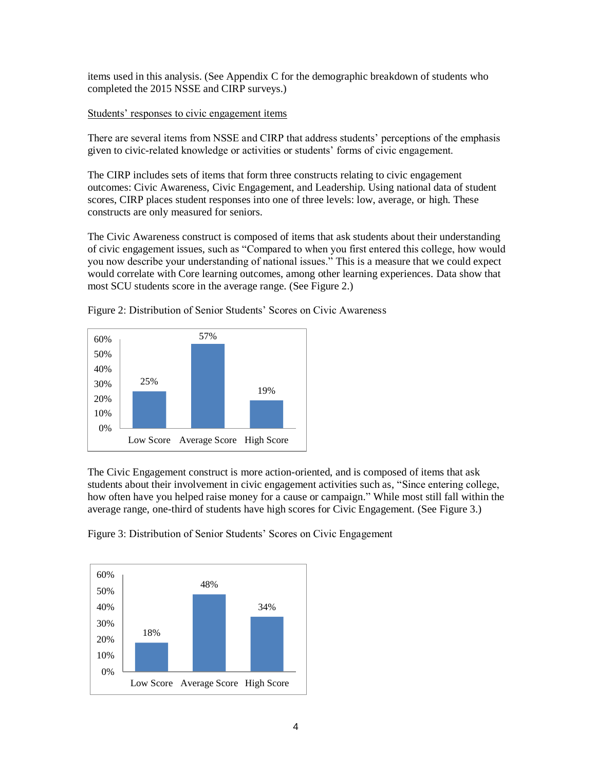items used in this analysis. (See Appendix C for the demographic breakdown of students who completed the 2015 NSSE and CIRP surveys.)

### Students' responses to civic engagement items

There are several items from NSSE and CIRP that address students' perceptions of the emphasis given to civic-related knowledge or activities or students' forms of civic engagement.

The CIRP includes sets of items that form three constructs relating to civic engagement outcomes: Civic Awareness, Civic Engagement, and Leadership. Using national data of student scores, CIRP places student responses into one of three levels: low, average, or high. These constructs are only measured for seniors.

The Civic Awareness construct is composed of items that ask students about their understanding of civic engagement issues, such as "Compared to when you first entered this college, how would you now describe your understanding of national issues." This is a measure that we could expect would correlate with Core learning outcomes, among other learning experiences. Data show that most SCU students score in the average range. (See Figure 2.)



Figure 2: Distribution of Senior Students' Scores on Civic Awareness

The Civic Engagement construct is more action-oriented, and is composed of items that ask students about their involvement in civic engagement activities such as, "Since entering college, how often have you helped raise money for a cause or campaign." While most still fall within the average range, one-third of students have high scores for Civic Engagement. (See Figure 3.)

Figure 3: Distribution of Senior Students' Scores on Civic Engagement

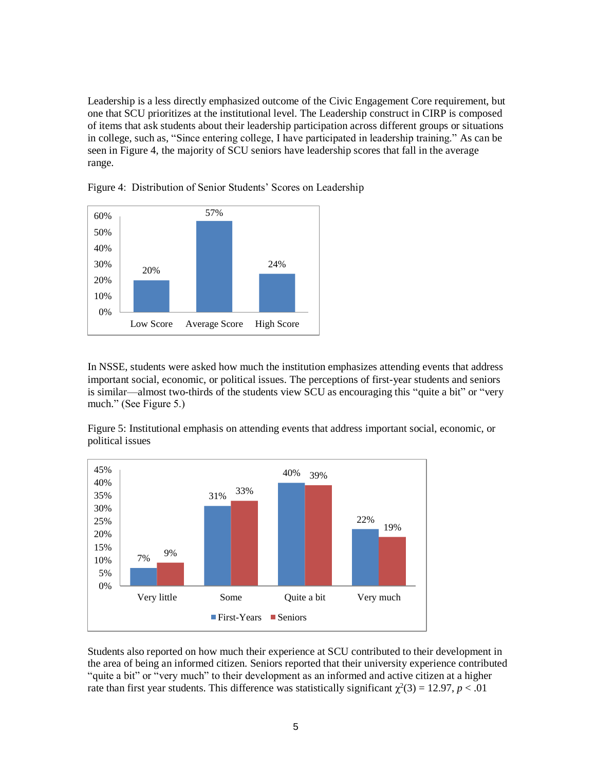Leadership is a less directly emphasized outcome of the Civic Engagement Core requirement, but one that SCU prioritizes at the institutional level. The Leadership construct in CIRP is composed of items that ask students about their leadership participation across different groups or situations in college, such as, "Since entering college, I have participated in leadership training." As can be seen in Figure 4, the majority of SCU seniors have leadership scores that fall in the average range.



Figure 4: Distribution of Senior Students' Scores on Leadership

In NSSE, students were asked how much the institution emphasizes attending events that address important social, economic, or political issues. The perceptions of first-year students and seniors is similar—almost two-thirds of the students view SCU as encouraging this "quite a bit" or "very much." (See Figure 5.)

Figure 5: Institutional emphasis on attending events that address important social, economic, or political issues



Students also reported on how much their experience at SCU contributed to their development in the area of being an informed citizen. Seniors reported that their university experience contributed "quite a bit" or "very much" to their development as an informed and active citizen at a higher rate than first year students. This difference was statistically significant  $\chi^2(3) = 12.97$ ,  $p < .01$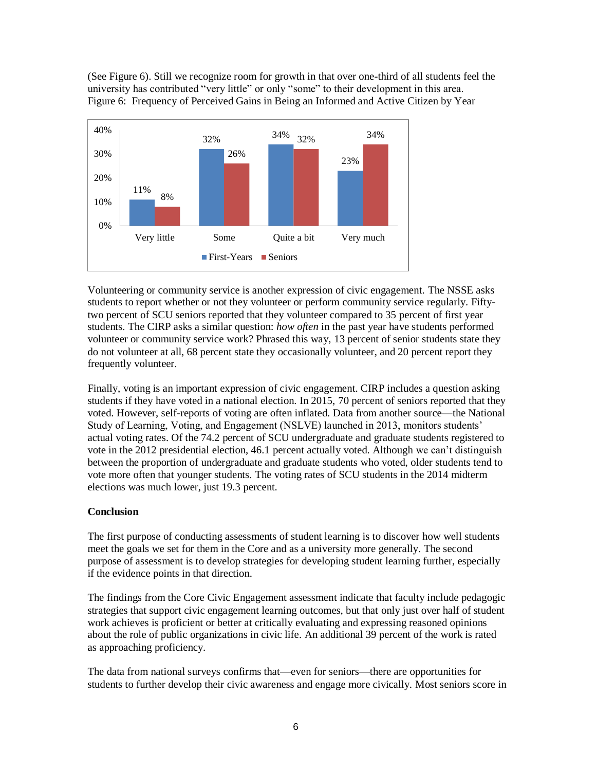(See Figure 6). Still we recognize room for growth in that over one-third of all students feel the university has contributed "very little" or only "some" to their development in this area. Figure 6: Frequency of Perceived Gains in Being an Informed and Active Citizen by Year



Volunteering or community service is another expression of civic engagement. The NSSE asks students to report whether or not they volunteer or perform community service regularly. Fiftytwo percent of SCU seniors reported that they volunteer compared to 35 percent of first year students. The CIRP asks a similar question: *how often* in the past year have students performed volunteer or community service work? Phrased this way, 13 percent of senior students state they do not volunteer at all, 68 percent state they occasionally volunteer, and 20 percent report they frequently volunteer.

Finally, voting is an important expression of civic engagement. CIRP includes a question asking students if they have voted in a national election. In 2015, 70 percent of seniors reported that they voted. However, self-reports of voting are often inflated. Data from another source—the National Study of Learning, Voting, and Engagement (NSLVE) launched in 2013, monitors students' actual voting rates. Of the 74.2 percent of SCU undergraduate and graduate students registered to vote in the 2012 presidential election, 46.1 percent actually voted. Although we can't distinguish between the proportion of undergraduate and graduate students who voted, older students tend to vote more often that younger students. The voting rates of SCU students in the 2014 midterm elections was much lower, just 19.3 percent.

## **Conclusion**

The first purpose of conducting assessments of student learning is to discover how well students meet the goals we set for them in the Core and as a university more generally. The second purpose of assessment is to develop strategies for developing student learning further, especially if the evidence points in that direction.

The findings from the Core Civic Engagement assessment indicate that faculty include pedagogic strategies that support civic engagement learning outcomes, but that only just over half of student work achieves is proficient or better at critically evaluating and expressing reasoned opinions about the role of public organizations in civic life. An additional 39 percent of the work is rated as approaching proficiency.

The data from national surveys confirms that—even for seniors—there are opportunities for students to further develop their civic awareness and engage more civically. Most seniors score in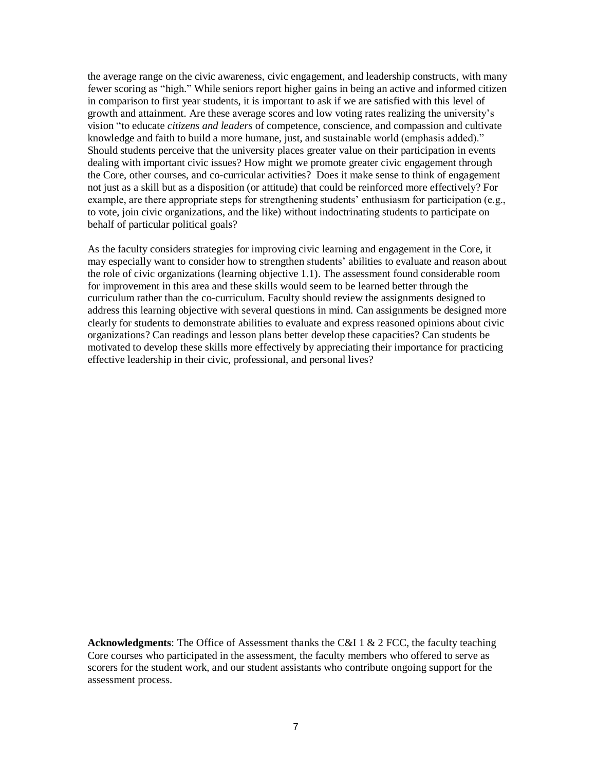the average range on the civic awareness, civic engagement, and leadership constructs, with many fewer scoring as "high." While seniors report higher gains in being an active and informed citizen in comparison to first year students, it is important to ask if we are satisfied with this level of growth and attainment. Are these average scores and low voting rates realizing the university's vision "to educate *citizens and leaders* of competence, conscience, and compassion and cultivate knowledge and faith to build a more humane, just, and sustainable world (emphasis added)." Should students perceive that the university places greater value on their participation in events dealing with important civic issues? How might we promote greater civic engagement through the Core, other courses, and co-curricular activities? Does it make sense to think of engagement not just as a skill but as a disposition (or attitude) that could be reinforced more effectively? For example, are there appropriate steps for strengthening students' enthusiasm for participation (e.g., to vote, join civic organizations, and the like) without indoctrinating students to participate on behalf of particular political goals?

As the faculty considers strategies for improving civic learning and engagement in the Core, it may especially want to consider how to strengthen students' abilities to evaluate and reason about the role of civic organizations (learning objective 1.1). The assessment found considerable room for improvement in this area and these skills would seem to be learned better through the curriculum rather than the co-curriculum. Faculty should review the assignments designed to address this learning objective with several questions in mind. Can assignments be designed more clearly for students to demonstrate abilities to evaluate and express reasoned opinions about civic organizations? Can readings and lesson plans better develop these capacities? Can students be motivated to develop these skills more effectively by appreciating their importance for practicing effective leadership in their civic, professional, and personal lives?

**Acknowledgments**: The Office of Assessment thanks the C&I 1 & 2 FCC, the faculty teaching Core courses who participated in the assessment, the faculty members who offered to serve as scorers for the student work, and our student assistants who contribute ongoing support for the assessment process.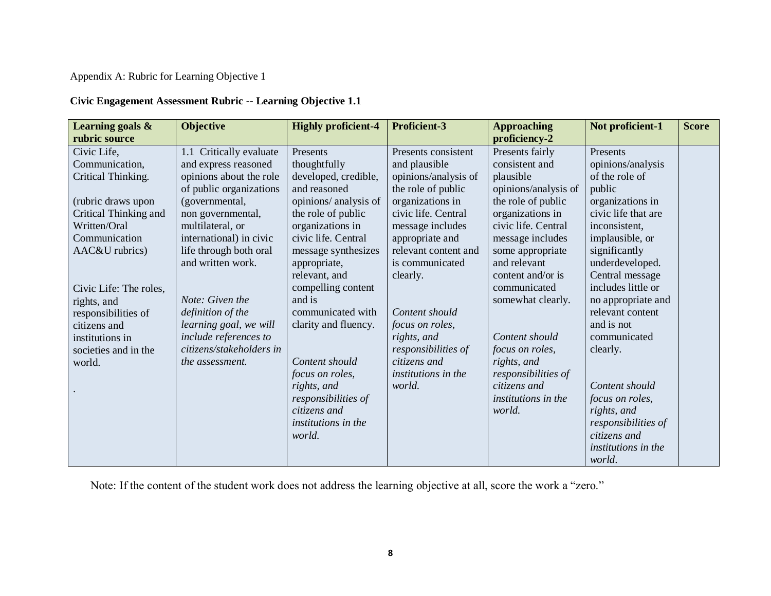# Appendix A: Rubric for Learning Objective 1

## **Civic Engagement Assessment Rubric -- Learning Objective 1.1**

| Learning goals &<br>rubric source | <b>Objective</b>           | <b>Highly proficient-4</b> | <b>Proficient-3</b>  | <b>Approaching</b><br>proficiency-2 | Not proficient-1           | <b>Score</b> |
|-----------------------------------|----------------------------|----------------------------|----------------------|-------------------------------------|----------------------------|--------------|
| Civic Life,                       | Critically evaluate<br>1.1 | Presents                   | Presents consistent  | Presents fairly                     | Presents                   |              |
| Communication,                    | and express reasoned       | thoughtfully               | and plausible        | consistent and                      | opinions/analysis          |              |
| Critical Thinking.                | opinions about the role    | developed, credible,       | opinions/analysis of | plausible                           | of the role of             |              |
|                                   | of public organizations    | and reasoned               | the role of public   | opinions/analysis of                | public                     |              |
| (rubric draws upon                | (governmental,             | opinions/ analysis of      | organizations in     | the role of public                  | organizations in           |              |
| Critical Thinking and             | non governmental,          | the role of public         | civic life. Central  | organizations in                    | civic life that are        |              |
| Written/Oral                      | multilateral, or           | organizations in           | message includes     | civic life. Central                 | inconsistent,              |              |
| Communication                     | international) in civic    | civic life. Central        | appropriate and      | message includes                    | implausible, or            |              |
| AAC&U rubrics)                    | life through both oral     | message synthesizes        | relevant content and | some appropriate                    | significantly              |              |
|                                   | and written work.          | appropriate,               | is communicated      | and relevant                        | underdeveloped.            |              |
|                                   |                            | relevant, and              | clearly.             | content and/or is                   | Central message            |              |
| Civic Life: The roles,            |                            | compelling content         |                      | communicated                        | includes little or         |              |
| rights, and                       | Note: Given the            | and is                     |                      | somewhat clearly.                   | no appropriate and         |              |
| responsibilities of               | definition of the          | communicated with          | Content should       |                                     | relevant content           |              |
| citizens and                      | learning goal, we will     | clarity and fluency.       | focus on roles,      |                                     | and is not                 |              |
| institutions in                   | include references to      |                            | rights, and          | Content should                      | communicated               |              |
| societies and in the              | citizens/stakeholders in   |                            | responsibilities of  | focus on roles,                     | clearly.                   |              |
| world.                            | the assessment.            | Content should             | citizens and         | rights, and                         |                            |              |
|                                   |                            | focus on roles,            | institutions in the  | responsibilities of                 |                            |              |
|                                   |                            | rights, and                | world.               | citizens and                        | Content should             |              |
|                                   |                            | responsibilities of        |                      | institutions in the                 | focus on roles,            |              |
|                                   |                            | citizens and               |                      | world.                              | rights, and                |              |
|                                   |                            | institutions in the        |                      |                                     | responsibilities of        |              |
|                                   |                            | world.                     |                      |                                     | citizens and               |              |
|                                   |                            |                            |                      |                                     | <i>institutions in the</i> |              |
|                                   |                            |                            |                      |                                     | world.                     |              |

Note: If the content of the student work does not address the learning objective at all, score the work a "zero."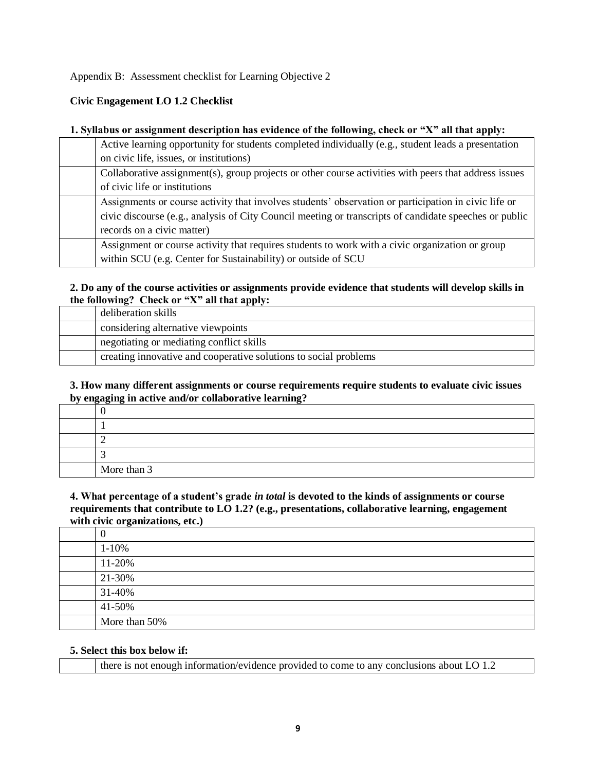Appendix B: Assessment checklist for Learning Objective 2

## **Civic Engagement LO 1.2 Checklist**

### **1. Syllabus or assignment description has evidence of the following, check or "X" all that apply:**

| Active learning opportunity for students completed individually (e.g., student leads a presentation    |
|--------------------------------------------------------------------------------------------------------|
| on civic life, issues, or institutions)                                                                |
| Collaborative assignment(s), group projects or other course activities with peers that address issues  |
| of civic life or institutions                                                                          |
| Assignments or course activity that involves students' observation or participation in civic life or   |
| civic discourse (e.g., analysis of City Council meeting or transcripts of candidate speeches or public |
| records on a civic matter)                                                                             |
| Assignment or course activity that requires students to work with a civic organization or group        |
| within SCU (e.g. Center for Sustainability) or outside of SCU                                          |

## **2. Do any of the course activities or assignments provide evidence that students will develop skills in the following? Check or "X" all that apply:**

| deliberation skills                                              |
|------------------------------------------------------------------|
| considering alternative viewpoints                               |
| negotiating or mediating conflict skills                         |
| creating innovative and cooperative solutions to social problems |

### **3. How many different assignments or course requirements require students to evaluate civic issues by engaging in active and/or collaborative learning?**

| More than 3 |
|-------------|

### **4. What percentage of a student's grade** *in total* **is devoted to the kinds of assignments or course requirements that contribute to LO 1.2? (e.g., presentations, collaborative learning, engagement with civic organizations, etc.)**

| 0             |
|---------------|
| $1 - 10%$     |
| 11-20%        |
| 21-30%        |
| 31-40%        |
| 41-50%        |
| More than 50% |

### **5. Select this box below if:**

|  | there is not enough information/evidence provided to come to any conclusions about LO 1.2 |  |
|--|-------------------------------------------------------------------------------------------|--|
|--|-------------------------------------------------------------------------------------------|--|